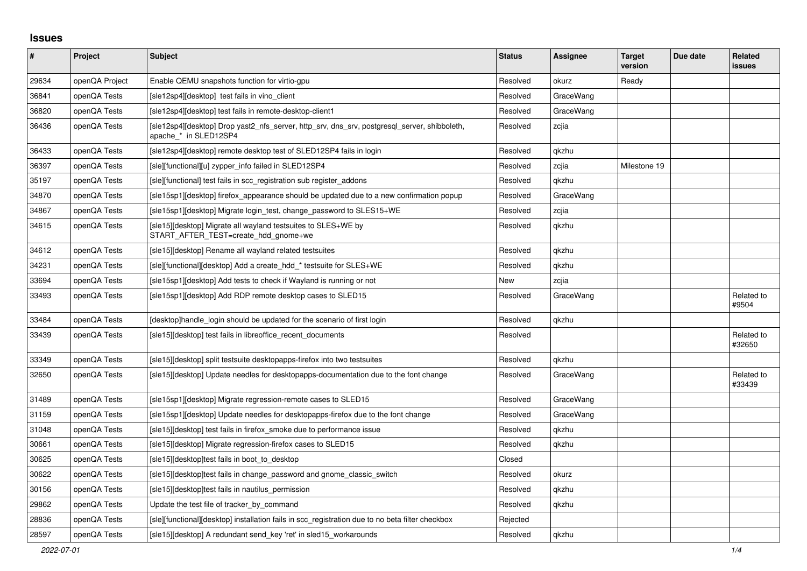## **Issues**

| #     | Project        | <b>Subject</b>                                                                                                        | <b>Status</b> | <b>Assignee</b> | <b>Target</b><br>version | Due date | Related<br><b>issues</b> |
|-------|----------------|-----------------------------------------------------------------------------------------------------------------------|---------------|-----------------|--------------------------|----------|--------------------------|
| 29634 | openQA Project | Enable QEMU snapshots function for virtio-gpu                                                                         | Resolved      | okurz           | Ready                    |          |                          |
| 36841 | openQA Tests   | [sle12sp4][desktop] test fails in vino client                                                                         | Resolved      | GraceWang       |                          |          |                          |
| 36820 | openQA Tests   | [sle12sp4][desktop] test fails in remote-desktop-client1                                                              | Resolved      | GraceWang       |                          |          |                          |
| 36436 | openQA Tests   | [sle12sp4][desktop] Drop yast2_nfs_server, http_srv, dns_srv, postgresql_server, shibboleth,<br>apache * in SLED12SP4 | Resolved      | zcjia           |                          |          |                          |
| 36433 | openQA Tests   | [sle12sp4][desktop] remote desktop test of SLED12SP4 fails in login                                                   | Resolved      | qkzhu           |                          |          |                          |
| 36397 | openQA Tests   | [sle][functional][u] zypper info failed in SLED12SP4                                                                  | Resolved      | zcjia           | Milestone 19             |          |                          |
| 35197 | openQA Tests   | [sle][functional] test fails in scc registration sub register addons                                                  | Resolved      | gkzhu           |                          |          |                          |
| 34870 | openQA Tests   | [sle15sp1][desktop] firefox appearance should be updated due to a new confirmation popup                              | Resolved      | GraceWang       |                          |          |                          |
| 34867 | openQA Tests   | [sle15sp1][desktop] Migrate login_test, change_password to SLES15+WE                                                  | Resolved      | zcjia           |                          |          |                          |
| 34615 | openQA Tests   | [sle15][desktop] Migrate all wayland testsuites to SLES+WE by<br>START_AFTER_TEST=create_hdd_gnome+we                 | Resolved      | qkzhu           |                          |          |                          |
| 34612 | openQA Tests   | [sle15][desktop] Rename all wayland related testsuites                                                                | Resolved      | gkzhu           |                          |          |                          |
| 34231 | openQA Tests   | [sle][functional][desktop] Add a create hdd * testsuite for SLES+WE                                                   | Resolved      | gkzhu           |                          |          |                          |
| 33694 | openQA Tests   | [sle15sp1][desktop] Add tests to check if Wayland is running or not                                                   | New           | zcjia           |                          |          |                          |
| 33493 | openQA Tests   | [sle15sp1][desktop] Add RDP remote desktop cases to SLED15                                                            | Resolved      | GraceWang       |                          |          | Related to<br>#9504      |
| 33484 | openQA Tests   | [desktop]handle login should be updated for the scenario of first login                                               | Resolved      | qkzhu           |                          |          |                          |
| 33439 | openQA Tests   | [sle15][desktop] test fails in libreoffice recent documents                                                           | Resolved      |                 |                          |          | Related to<br>#32650     |
| 33349 | openQA Tests   | [sle15][desktop] split testsuite desktopapps-firefox into two testsuites                                              | Resolved      | qkzhu           |                          |          |                          |
| 32650 | openQA Tests   | [sle15][desktop] Update needles for desktopapps-documentation due to the font change                                  | Resolved      | GraceWang       |                          |          | Related to<br>#33439     |
| 31489 | openQA Tests   | [sle15sp1][desktop] Migrate regression-remote cases to SLED15                                                         | Resolved      | GraceWang       |                          |          |                          |
| 31159 | openQA Tests   | [sle15sp1][desktop] Update needles for desktopapps-firefox due to the font change                                     | Resolved      | GraceWang       |                          |          |                          |
| 31048 | openQA Tests   | [sle15][desktop] test fails in firefox_smoke due to performance issue                                                 | Resolved      | qkzhu           |                          |          |                          |
| 30661 | openQA Tests   | [sle15][desktop] Migrate regression-firefox cases to SLED15                                                           | Resolved      | qkzhu           |                          |          |                          |
| 30625 | openQA Tests   | [sle15][desktop]test fails in boot to desktop                                                                         | Closed        |                 |                          |          |                          |
| 30622 | openQA Tests   | [sle15][desktop]test fails in change password and gnome classic switch                                                | Resolved      | okurz           |                          |          |                          |
| 30156 | openQA Tests   | [sle15][desktop]test fails in nautilus permission                                                                     | Resolved      | gkzhu           |                          |          |                          |
| 29862 | openQA Tests   | Update the test file of tracker_by_command                                                                            | Resolved      | qkzhu           |                          |          |                          |
| 28836 | openQA Tests   | [sle][functional][desktop] installation fails in scc_registration due to no beta filter checkbox                      | Rejected      |                 |                          |          |                          |
| 28597 | openQA Tests   | [sle15][desktop] A redundant send key 'ret' in sled15 workarounds                                                     | Resolved      | gkzhu           |                          |          |                          |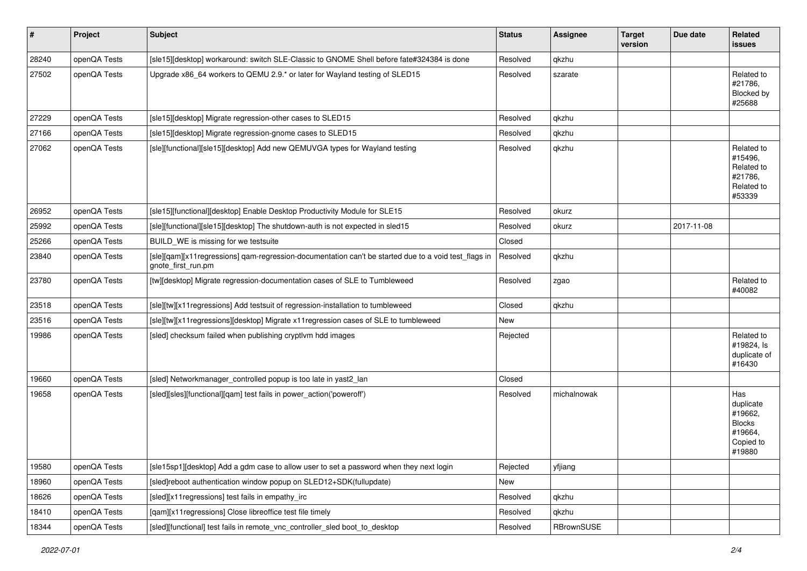| $\sharp$ | Project      | Subject                                                                                                                    | <b>Status</b> | <b>Assignee</b> | <b>Target</b><br>version | Due date   | Related<br><b>issues</b>                                                       |
|----------|--------------|----------------------------------------------------------------------------------------------------------------------------|---------------|-----------------|--------------------------|------------|--------------------------------------------------------------------------------|
| 28240    | openQA Tests | [sle15][desktop] workaround: switch SLE-Classic to GNOME Shell before fate#324384 is done                                  | Resolved      | qkzhu           |                          |            |                                                                                |
| 27502    | openQA Tests | Upgrade x86_64 workers to QEMU 2.9.* or later for Wayland testing of SLED15                                                | Resolved      | szarate         |                          |            | Related to<br>#21786,<br>Blocked by<br>#25688                                  |
| 27229    | openQA Tests | [sle15][desktop] Migrate regression-other cases to SLED15                                                                  | Resolved      | qkzhu           |                          |            |                                                                                |
| 27166    | openQA Tests | [sle15][desktop] Migrate regression-gnome cases to SLED15                                                                  | Resolved      | qkzhu           |                          |            |                                                                                |
| 27062    | openQA Tests | [sle][functional][sle15][desktop] Add new QEMUVGA types for Wayland testing                                                | Resolved      | qkzhu           |                          |            | Related to<br>#15496,<br>Related to<br>#21786,<br>Related to<br>#53339         |
| 26952    | openQA Tests | [sle15][functional][desktop] Enable Desktop Productivity Module for SLE15                                                  | Resolved      | okurz           |                          |            |                                                                                |
| 25992    | openQA Tests | [sle][functional][sle15][desktop] The shutdown-auth is not expected in sled15                                              | Resolved      | okurz           |                          | 2017-11-08 |                                                                                |
| 25266    | openQA Tests | BUILD WE is missing for we testsuite                                                                                       | Closed        |                 |                          |            |                                                                                |
| 23840    | openQA Tests | [sle][qam][x11regressions] qam-regression-documentation can't be started due to a void test_flags in<br>gnote_first_run.pm | Resolved      | qkzhu           |                          |            |                                                                                |
| 23780    | openQA Tests | [tw][desktop] Migrate regression-documentation cases of SLE to Tumbleweed                                                  | Resolved      | zgao            |                          |            | Related to<br>#40082                                                           |
| 23518    | openQA Tests | [sle][tw][x11 regressions] Add testsuit of regression-installation to tumbleweed                                           | Closed        | qkzhu           |                          |            |                                                                                |
| 23516    | openQA Tests | [sle][tw][x11regressions][desktop] Migrate x11regression cases of SLE to tumbleweed                                        | New           |                 |                          |            |                                                                                |
| 19986    | openQA Tests | [sled] checksum failed when publishing cryptlvm hdd images                                                                 | Rejected      |                 |                          |            | Related to<br>#19824, ls<br>duplicate of<br>#16430                             |
| 19660    | openQA Tests | [sled] Networkmanager_controlled popup is too late in yast2_lan                                                            | Closed        |                 |                          |            |                                                                                |
| 19658    | openQA Tests | [sled][sles][functional][qam] test fails in power_action('poweroff')                                                       | Resolved      | michalnowak     |                          |            | Has<br>duplicate<br>#19662,<br><b>Blocks</b><br>#19664,<br>Copied to<br>#19880 |
| 19580    | openQA Tests | [sle15sp1][desktop] Add a gdm case to allow user to set a password when they next login                                    | Rejected      | yfjiang         |                          |            |                                                                                |
| 18960    | openQA Tests | [sled]reboot authentication window popup on SLED12+SDK(fullupdate)                                                         | New           |                 |                          |            |                                                                                |
| 18626    | openQA Tests | [sled][x11regressions] test fails in empathy_irc                                                                           | Resolved      | qkzhu           |                          |            |                                                                                |
| 18410    | openQA Tests | [qam][x11regressions] Close libreoffice test file timely                                                                   | Resolved      | qkzhu           |                          |            |                                                                                |
| 18344    | openQA Tests | [sled][functional] test fails in remote_vnc_controller_sled boot_to_desktop                                                | Resolved      | RBrownSUSE      |                          |            |                                                                                |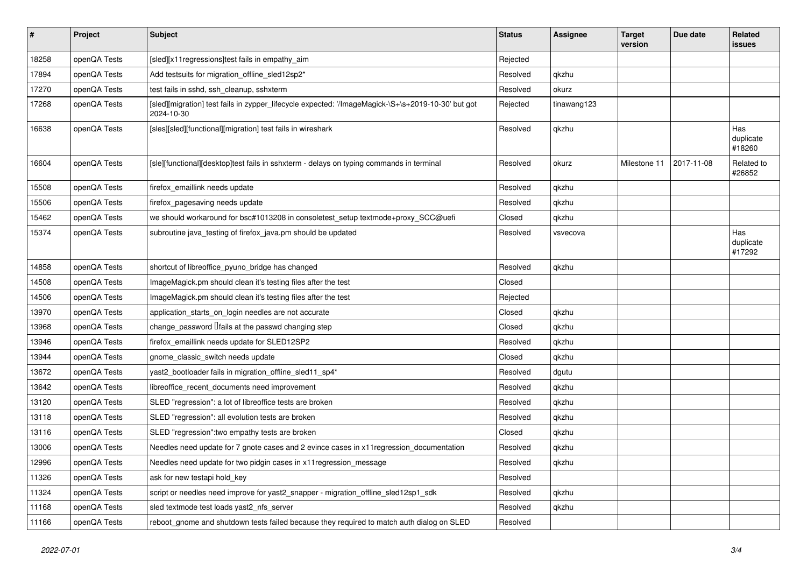| $\sharp$ | Project      | <b>Subject</b>                                                                                                   | <b>Status</b> | <b>Assignee</b> | <b>Target</b><br>version | Due date   | <b>Related</b><br><b>issues</b> |
|----------|--------------|------------------------------------------------------------------------------------------------------------------|---------------|-----------------|--------------------------|------------|---------------------------------|
| 18258    | openQA Tests | [sled][x11regressions]test fails in empathy_aim                                                                  | Rejected      |                 |                          |            |                                 |
| 17894    | openQA Tests | Add testsuits for migration_offline_sled12sp2*                                                                   | Resolved      | qkzhu           |                          |            |                                 |
| 17270    | openQA Tests | test fails in sshd, ssh cleanup, sshxterm                                                                        | Resolved      | okurz           |                          |            |                                 |
| 17268    | openQA Tests | [sled][migration] test fails in zypper_lifecycle expected: '/ImageMagick-\S+\s+2019-10-30' but got<br>2024-10-30 | Rejected      | tinawang123     |                          |            |                                 |
| 16638    | openQA Tests | [sles][sled][functional][migration] test fails in wireshark                                                      | Resolved      | qkzhu           |                          |            | Has<br>duplicate<br>#18260      |
| 16604    | openQA Tests | [sle][functional][desktop]test fails in sshxterm - delays on typing commands in terminal                         | Resolved      | okurz           | Milestone 11             | 2017-11-08 | Related to<br>#26852            |
| 15508    | openQA Tests | firefox_emaillink needs update                                                                                   | Resolved      | qkzhu           |                          |            |                                 |
| 15506    | openQA Tests | firefox_pagesaving needs update                                                                                  | Resolved      | qkzhu           |                          |            |                                 |
| 15462    | openQA Tests | we should workaround for bsc#1013208 in consoletest_setup textmode+proxy_SCC@uefi                                | Closed        | qkzhu           |                          |            |                                 |
| 15374    | openQA Tests | subroutine java_testing of firefox_java.pm should be updated                                                     | Resolved      | vsvecova        |                          |            | Has<br>duplicate<br>#17292      |
| 14858    | openQA Tests | shortcut of libreoffice_pyuno_bridge has changed                                                                 | Resolved      | qkzhu           |                          |            |                                 |
| 14508    | openQA Tests | ImageMagick.pm should clean it's testing files after the test                                                    | Closed        |                 |                          |            |                                 |
| 14506    | openQA Tests | ImageMagick.pm should clean it's testing files after the test                                                    | Rejected      |                 |                          |            |                                 |
| 13970    | openQA Tests | application_starts_on_login needles are not accurate                                                             | Closed        | qkzhu           |                          |            |                                 |
| 13968    | openQA Tests | change password $\Box$ fails at the passwd changing step                                                         | Closed        | qkzhu           |                          |            |                                 |
| 13946    | openQA Tests | firefox_emaillink needs update for SLED12SP2                                                                     | Resolved      | qkzhu           |                          |            |                                 |
| 13944    | openQA Tests | gnome_classic_switch needs update                                                                                | Closed        | qkzhu           |                          |            |                                 |
| 13672    | openQA Tests | yast2_bootloader fails in migration_offline_sled11_sp4*                                                          | Resolved      | dgutu           |                          |            |                                 |
| 13642    | openQA Tests | libreoffice_recent_documents need improvement                                                                    | Resolved      | qkzhu           |                          |            |                                 |
| 13120    | openQA Tests | SLED "regression": a lot of libreoffice tests are broken                                                         | Resolved      | qkzhu           |                          |            |                                 |
| 13118    | openQA Tests | SLED "regression": all evolution tests are broken                                                                | Resolved      | qkzhu           |                          |            |                                 |
| 13116    | openQA Tests | SLED "regression": two empathy tests are broken                                                                  | Closed        | qkzhu           |                          |            |                                 |
| 13006    | openQA Tests | Needles need update for 7 gnote cases and 2 evince cases in x11 regression_documentation                         | Resolved      | qkzhu           |                          |            |                                 |
| 12996    | openQA Tests | Needles need update for two pidgin cases in x11 regression message                                               | Resolved      | qkzhu           |                          |            |                                 |
| 11326    | openQA Tests | ask for new testapi hold_key                                                                                     | Resolved      |                 |                          |            |                                 |
| 11324    | openQA Tests | script or needles need improve for yast2_snapper - migration_offline_sled12sp1_sdk                               | Resolved      | qkzhu           |                          |            |                                 |
| 11168    | openQA Tests | sled textmode test loads yast2_nfs_server                                                                        | Resolved      | qkzhu           |                          |            |                                 |
| 11166    | openQA Tests | reboot_gnome and shutdown tests failed because they required to match auth dialog on SLED                        | Resolved      |                 |                          |            |                                 |